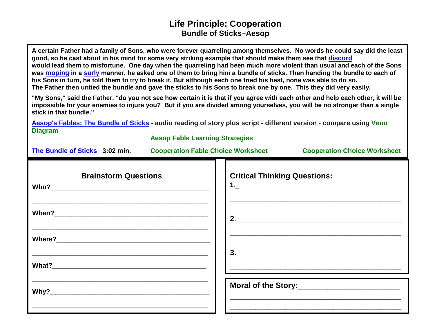## **Life Principle: Cooperation Bundle of Sticks–Aesop**

**A certain Father had a family of Sons, who were forever quarreling among themselves. No words he could say did the least good, so he cast about in his mind for some very striking example that should make them see that [discord](https://www.merriam-webster.com/dictionary/discord) would lead them to misfortune. One day when the quarreling had been much more violent than usual and each of the Sons was [moping](https://www.merriam-webster.com/dictionary/moping) in a [surly](https://www.merriam-webster.com/dictionary/surly) manner, he asked one of them to bring him a bundle of sticks. Then handing the bundle to each of his Sons in turn, he told them to try to break it. But although each one tried his best, none was able to do so. The Father then untied the bundle and gave the sticks to his Sons to break one by one. This they did very easily.** 

**"My Sons," said the Father, "do you not see how certain it is that if you agree with each other and help each other, it will be impossible for your enemies to injure you? But if you are divided among yourselves, you will be no stronger than a single stick in that bundle."**

**[Aesop's Fables: The Bundle of Sticks](http://www.bbc.co.uk/learning/schoolradio/subjects/english/aesops_fables/1-8/bundle_sticks) - audio reading of story plus script - different version - compare using [Venn](http://www.greatexpectations.org/Websites/greatexpectations/images/pdf/lp/responsibility/Venn%20Diagram%20Master.pdf)  [Diagram](http://www.greatexpectations.org/Websites/greatexpectations/images/pdf/lp/responsibility/Venn%20Diagram%20Master.pdf)**

| <b>Aesop Fable Learning Strategies</b>                   |                                                                                                                                                                                                                                                                                                                                                                                             |  |
|----------------------------------------------------------|---------------------------------------------------------------------------------------------------------------------------------------------------------------------------------------------------------------------------------------------------------------------------------------------------------------------------------------------------------------------------------------------|--|
|                                                          | The Bundle of Sticks 3:02 min. Cooperation Fable Choice Worksheet Cooperation Choice Worksheet                                                                                                                                                                                                                                                                                              |  |
| <b>Brainstorm Questions</b>                              | <b>Critical Thinking Questions:</b>                                                                                                                                                                                                                                                                                                                                                         |  |
|                                                          | 2.                                                                                                                                                                                                                                                                                                                                                                                          |  |
| <u> 1999 - Johann John Harry Communication (b. 1999)</u> | $\begin{array}{c c c c c} \hline \rule{0pt}{16pt} \textbf{3.2} & \textbf{0.3} & \textbf{0.3} & \textbf{0.3} \\ \hline \rule{0pt}{2.5pt} \textbf{1.1} & \textbf{0.3} & \textbf{0.3} & \textbf{0.3} & \textbf{0.3} \\ \hline \rule{0pt}{2.5pt} \textbf{2.1} & \textbf{0.3} & \textbf{0.3} & \textbf{0.3} & \textbf{0.3} \\ \hline \rule{0pt}{2.5pt} \textbf{3.1} & \textbf{0.3} & \textbf{0.$ |  |
|                                                          | <u> 2000 - Jan James James Barnett, amerikan basar dan berasal dan berasal dari pertama dan berasal dan berasal d</u>                                                                                                                                                                                                                                                                       |  |
|                                                          | <u> 1989 - Andrea Santa Andrea Andrea Andrea Andrea Andrea Andrea Andrea Andrea Andrea Andrea Andrea Andrea Andr</u>                                                                                                                                                                                                                                                                        |  |